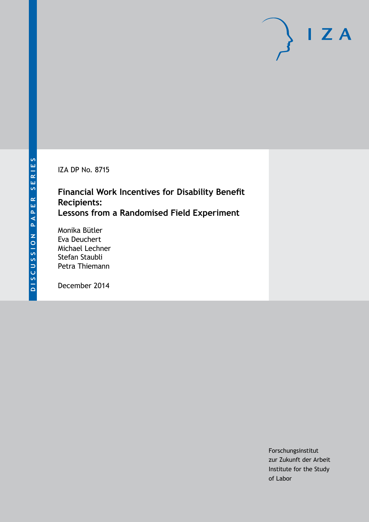IZA DP No. 8715

## **Financial Work Incentives for Disability Benefit Recipients: Lessons from a Randomised Field Experiment**

Monika Bütler Eva Deuchert Michael Lechner Stefan Staubli Petra Thiemann

December 2014

Forschungsinstitut zur Zukunft der Arbeit Institute for the Study of Labor

 $I Z A$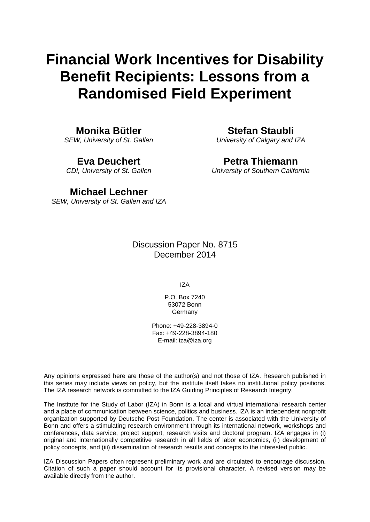# **Financial Work Incentives for Disability Benefit Recipients: Lessons from a Randomised Field Experiment**

### **Monika Bütler**

*SEW, University of St. Gallen*

### **Eva Deuchert**

*CDI, University of St. Gallen*

**Stefan Staubli**

*University of Calgary and IZA*

## **Petra Thiemann**

*University of Southern California*

### **Michael Lechner**

*SEW, University of St. Gallen and IZA*

Discussion Paper No. 8715 December 2014

IZA

P.O. Box 7240 53072 Bonn Germany

Phone: +49-228-3894-0 Fax: +49-228-3894-180 E-mail: [iza@iza.org](mailto:iza@iza.org)

Any opinions expressed here are those of the author(s) and not those of IZA. Research published in this series may include views on policy, but the institute itself takes no institutional policy positions. The IZA research network is committed to the IZA Guiding Principles of Research Integrity.

The Institute for the Study of Labor (IZA) in Bonn is a local and virtual international research center and a place of communication between science, politics and business. IZA is an independent nonprofit organization supported by Deutsche Post Foundation. The center is associated with the University of Bonn and offers a stimulating research environment through its international network, workshops and conferences, data service, project support, research visits and doctoral program. IZA engages in (i) original and internationally competitive research in all fields of labor economics, (ii) development of policy concepts, and (iii) dissemination of research results and concepts to the interested public.

<span id="page-1-0"></span>IZA Discussion Papers often represent preliminary work and are circulated to encourage discussion. Citation of such a paper should account for its provisional character. A revised version may be available directly from the author.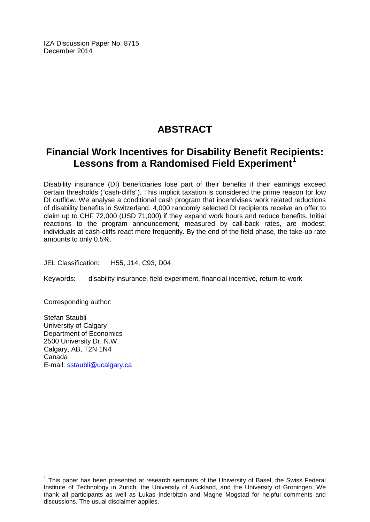IZA Discussion Paper No. 8715 December 2014

## **ABSTRACT**

## **Financial Work Incentives for Disability Benefit Recipients: Lessons from a Randomised Field Experiment[1](#page-1-0)**

Disability insurance (DI) beneficiaries lose part of their benefits if their earnings exceed certain thresholds ("cash-cliffs"). This implicit taxation is considered the prime reason for low DI outflow. We analyse a conditional cash program that incentivises work related reductions of disability benefits in Switzerland. 4,000 randomly selected DI recipients receive an offer to claim up to CHF 72,000 (USD 71,000) if they expand work hours and reduce benefits. Initial reactions to the program announcement, measured by call-back rates, are modest; individuals at cash-cliffs react more frequently. By the end of the field phase, the take-up rate amounts to only 0.5%.

JEL Classification: H55, J14, C93, D04

Keywords: disability insurance, field experiment, financial incentive, return-to-work

Corresponding author:

Stefan Staubli University of Calgary Department of Economics 2500 University Dr. N.W. Calgary, AB, T2N 1N4 Canada E-mail: [sstaubli@ucalgary.ca](mailto:sstaubli@ucalgary.ca)

 $1$  This paper has been presented at research seminars of the University of Basel, the Swiss Federal Institute of Technology in Zurich, the University of Auckland, and the University of Groningen. We thank all participants as well as Lukas Inderbitzin and Magne Mogstad for helpful comments and discussions. The usual disclaimer applies.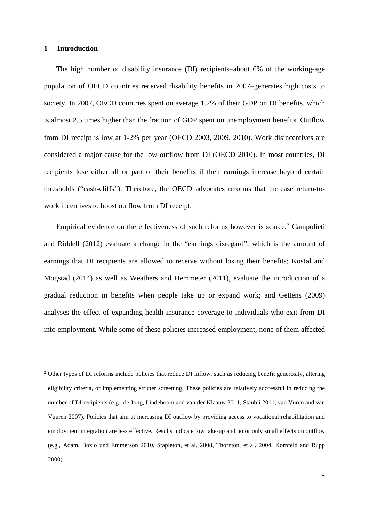#### **1 Introduction**

-

The high number of disability insurance (DI) recipients–about 6% of the working-age population of OECD countries received disability benefits in 2007–generates high costs to society. In 2007, OECD countries spent on average 1.2% of their GDP on DI benefits, which is almost 2.5 times higher than the fraction of GDP spent on unemployment benefits. Outflow from DI receipt is low at 1-2% per year (OECD 2003, 2009, 2010). Work disincentives are considered a major cause for the low outflow from DI (OECD 2010). In most countries, DI recipients lose either all or part of their benefits if their earnings increase beyond certain thresholds ("cash-cliffs"). Therefore, the OECD advocates reforms that increase return-towork incentives to boost outflow from DI receipt.

Empirical evidence on the effectiveness of such reforms however is scarce.<sup>[2](#page-3-0)</sup> Campolieti and Riddell (2012) evaluate a change in the "earnings disregard", which is the amount of earnings that DI recipients are allowed to receive without losing their benefits; Kostøl and Mogstad (2014) as well as Weathers and Hemmeter (2011), evaluate the introduction of a gradual reduction in benefits when people take up or expand work; and Gettens (2009) analyses the effect of expanding health insurance coverage to individuals who exit from DI into employment. While some of these policies increased employment, none of them affected

<span id="page-3-0"></span><sup>&</sup>lt;sup>2</sup> Other types of DI reforms include policies that reduce DI inflow, such as reducing benefit generosity, altering eligibility criteria, or implementing stricter screening. These policies are relatively successful in reducing the number of DI recipients (e.g., de Jong, Lindeboom and van der Klaauw 2011, Staubli 2011, van Vuren and van Vuuren 2007). Policies that aim at increasing DI outflow by providing access to vocational rehabilitation and employment integration are less effective. Results indicate low take-up and no or only small effects on outflow (e.g., Adam, Bozio und Emmerson 2010, Stapleton, et al. 2008, Thornton, et al. 2004, Kornfeld and Rupp 2000).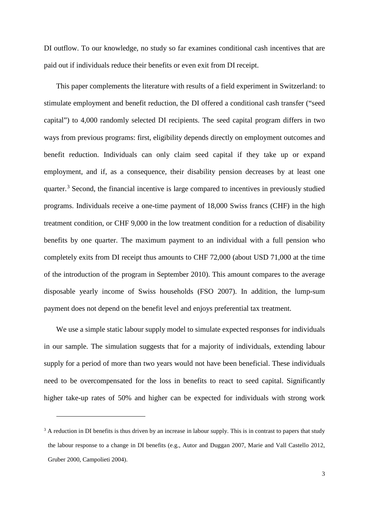DI outflow. To our knowledge, no study so far examines conditional cash incentives that are paid out if individuals reduce their benefits or even exit from DI receipt.

This paper complements the literature with results of a field experiment in Switzerland: to stimulate employment and benefit reduction, the DI offered a conditional cash transfer ("seed capital") to 4,000 randomly selected DI recipients. The seed capital program differs in two ways from previous programs: first, eligibility depends directly on employment outcomes and benefit reduction. Individuals can only claim seed capital if they take up or expand employment, and if, as a consequence, their disability pension decreases by at least one quarter.[3](#page-4-0) Second, the financial incentive is large compared to incentives in previously studied programs. Individuals receive a one-time payment of 18,000 Swiss francs (CHF) in the high treatment condition, or CHF 9,000 in the low treatment condition for a reduction of disability benefits by one quarter. The maximum payment to an individual with a full pension who completely exits from DI receipt thus amounts to CHF 72,000 (about USD 71,000 at the time of the introduction of the program in September 2010). This amount compares to the average disposable yearly income of Swiss households (FSO 2007). In addition, the lump-sum payment does not depend on the benefit level and enjoys preferential tax treatment.

We use a simple static labour supply model to simulate expected responses for individuals in our sample. The simulation suggests that for a majority of individuals, extending labour supply for a period of more than two years would not have been beneficial. These individuals need to be overcompensated for the loss in benefits to react to seed capital. Significantly higher take-up rates of 50% and higher can be expected for individuals with strong work

<u>.</u>

<span id="page-4-0"></span> $3$  A reduction in DI benefits is thus driven by an increase in labour supply. This is in contrast to papers that study the labour response to a change in DI benefits (e.g., Autor and Duggan 2007, Marie and Vall Castello 2012, Gruber 2000, Campolieti 2004).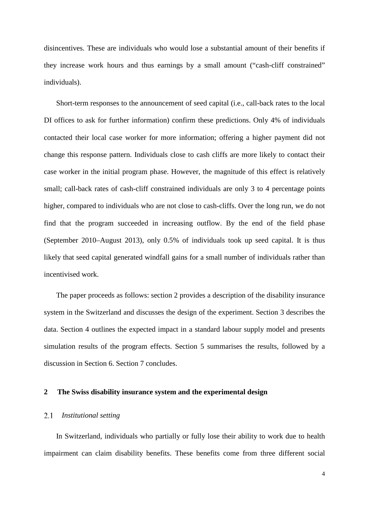disincentives. These are individuals who would lose a substantial amount of their benefits if they increase work hours and thus earnings by a small amount ("cash-cliff constrained" individuals).

Short-term responses to the announcement of seed capital (i.e., call-back rates to the local DI offices to ask for further information) confirm these predictions. Only 4% of individuals contacted their local case worker for more information; offering a higher payment did not change this response pattern. Individuals close to cash cliffs are more likely to contact their case worker in the initial program phase. However, the magnitude of this effect is relatively small; call-back rates of cash-cliff constrained individuals are only 3 to 4 percentage points higher, compared to individuals who are not close to cash-cliffs. Over the long run, we do not find that the program succeeded in increasing outflow. By the end of the field phase (September 2010–August 2013), only 0.5% of individuals took up seed capital. It is thus likely that seed capital generated windfall gains for a small number of individuals rather than incentivised work.

The paper proceeds as follows: section 2 provides a description of the disability insurance system in the Switzerland and discusses the design of the experiment. Section 3 describes the data. Section 4 outlines the expected impact in a standard labour supply model and presents simulation results of the program effects. Section 5 summarises the results, followed by a discussion in Section 6. Section 7 concludes.

#### **2 The Swiss disability insurance system and the experimental design**

#### 2.1 *Institutional setting*

In Switzerland, individuals who partially or fully lose their ability to work due to health impairment can claim disability benefits. These benefits come from three different social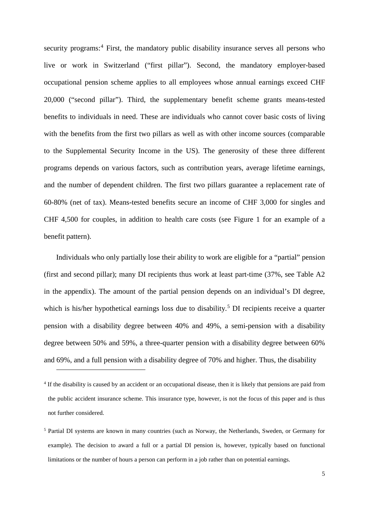security programs:<sup>[4](#page-6-0)</sup> First, the mandatory public disability insurance serves all persons who live or work in Switzerland ("first pillar"). Second, the mandatory employer-based occupational pension scheme applies to all employees whose annual earnings exceed CHF 20,000 ("second pillar"). Third, the supplementary benefit scheme grants means-tested benefits to individuals in need. These are individuals who cannot cover basic costs of living with the benefits from the first two pillars as well as with other income sources (comparable to the Supplemental Security Income in the US). The generosity of these three different programs depends on various factors, such as contribution years, average lifetime earnings, and the number of dependent children. The first two pillars guarantee a replacement rate of 60-80% (net of tax). Means-tested benefits secure an income of CHF 3,000 for singles and CHF 4,500 for couples, in addition to health care costs (see Figure 1 for an example of a benefit pattern).

Individuals who only partially lose their ability to work are eligible for a "partial" pension (first and second pillar); many DI recipients thus work at least part-time (37%, see Table A2 in the appendix). The amount of the partial pension depends on an individual's DI degree, which is his/her hypothetical earnings loss due to disability.<sup>[5](#page-6-1)</sup> DI recipients receive a quarter pension with a disability degree between 40% and 49%, a semi-pension with a disability degree between 50% and 59%, a three-quarter pension with a disability degree between 60% and 69%, and a full pension with a disability degree of 70% and higher. Thus, the disability

<u>.</u>

<span id="page-6-0"></span><sup>&</sup>lt;sup>4</sup> If the disability is caused by an accident or an occupational disease, then it is likely that pensions are paid from the public accident insurance scheme. This insurance type, however, is not the focus of this paper and is thus not further considered.

<span id="page-6-1"></span><sup>5</sup> Partial DI systems are known in many countries (such as Norway, the Netherlands, Sweden, or Germany for example). The decision to award a full or a partial DI pension is, however, typically based on functional limitations or the number of hours a person can perform in a job rather than on potential earnings.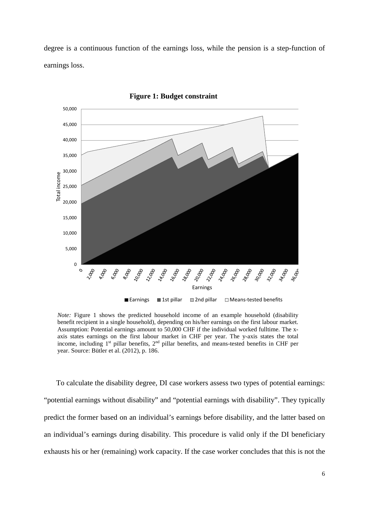degree is a continuous function of the earnings loss, while the pension is a step-function of earnings loss.



**Figure 1: Budget constraint**

*Note:* Figure 1 shows the predicted household income of an example household (disability benefit recipient in a single household), depending on his/her earnings on the first labour market. Assumption: Potential earnings amount to 50,000 CHF if the individual worked fulltime. The xaxis states earnings on the first labour market in CHF per year. The y-axis states the total income, including 1<sup>st</sup> pillar benefits, 2<sup>nd</sup> pillar benefits, and means-tested benefits in CHF per year. Source: Bütler et al. (2012), p. 186.

To calculate the disability degree, DI case workers assess two types of potential earnings: "potential earnings without disability" and "potential earnings with disability". They typically predict the former based on an individual's earnings before disability, and the latter based on an individual's earnings during disability. This procedure is valid only if the DI beneficiary exhausts his or her (remaining) work capacity. If the case worker concludes that this is not the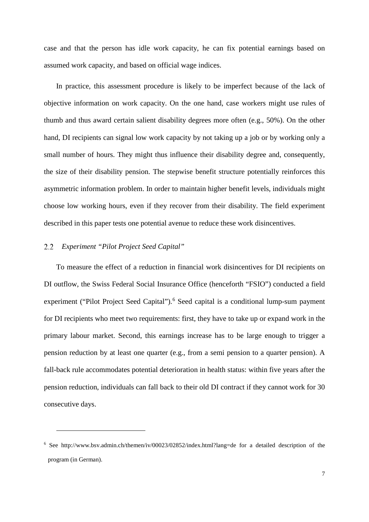case and that the person has idle work capacity, he can fix potential earnings based on assumed work capacity, and based on official wage indices.

In practice, this assessment procedure is likely to be imperfect because of the lack of objective information on work capacity. On the one hand, case workers might use rules of thumb and thus award certain salient disability degrees more often (e.g., 50%). On the other hand, DI recipients can signal low work capacity by not taking up a job or by working only a small number of hours. They might thus influence their disability degree and, consequently, the size of their disability pension. The stepwise benefit structure potentially reinforces this asymmetric information problem. In order to maintain higher benefit levels, individuals might choose low working hours, even if they recover from their disability. The field experiment described in this paper tests one potential avenue to reduce these work disincentives.

#### *Experiment "Pilot Project Seed Capital"*  $2.2$

<u>.</u>

To measure the effect of a reduction in financial work disincentives for DI recipients on DI outflow, the Swiss Federal Social Insurance Office (henceforth "FSIO") conducted a field experiment ("Pilot Project Seed Capital").<sup>[6](#page-8-0)</sup> Seed capital is a conditional lump-sum payment for DI recipients who meet two requirements: first, they have to take up or expand work in the primary labour market. Second, this earnings increase has to be large enough to trigger a pension reduction by at least one quarter (e.g., from a semi pension to a quarter pension). A fall-back rule accommodates potential deterioration in health status: within five years after the pension reduction, individuals can fall back to their old DI contract if they cannot work for 30 consecutive days.

<span id="page-8-0"></span><sup>6</sup> See http://www.bsv.admin.ch/themen/iv/00023/02852/index.html?lang=de for a detailed description of the program (in German).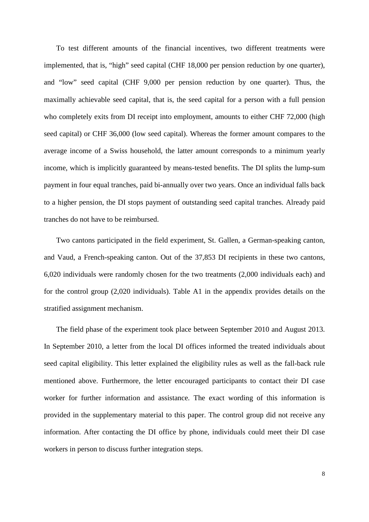To test different amounts of the financial incentives, two different treatments were implemented, that is, "high" seed capital (CHF 18,000 per pension reduction by one quarter), and "low" seed capital (CHF 9,000 per pension reduction by one quarter). Thus, the maximally achievable seed capital, that is, the seed capital for a person with a full pension who completely exits from DI receipt into employment, amounts to either CHF 72,000 (high seed capital) or CHF 36,000 (low seed capital). Whereas the former amount compares to the average income of a Swiss household, the latter amount corresponds to a minimum yearly income, which is implicitly guaranteed by means-tested benefits. The DI splits the lump-sum payment in four equal tranches, paid bi-annually over two years. Once an individual falls back to a higher pension, the DI stops payment of outstanding seed capital tranches. Already paid tranches do not have to be reimbursed.

Two cantons participated in the field experiment, St. Gallen, a German-speaking canton, and Vaud, a French-speaking canton. Out of the 37,853 DI recipients in these two cantons, 6,020 individuals were randomly chosen for the two treatments (2,000 individuals each) and for the control group (2,020 individuals). Table A1 in the appendix provides details on the stratified assignment mechanism.

The field phase of the experiment took place between September 2010 and August 2013. In September 2010, a letter from the local DI offices informed the treated individuals about seed capital eligibility. This letter explained the eligibility rules as well as the fall-back rule mentioned above. Furthermore, the letter encouraged participants to contact their DI case worker for further information and assistance. The exact wording of this information is provided in the supplementary material to this paper. The control group did not receive any information. After contacting the DI office by phone, individuals could meet their DI case workers in person to discuss further integration steps.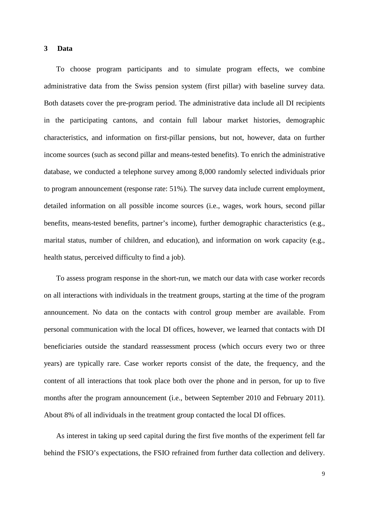#### **3 Data**

To choose program participants and to simulate program effects, we combine administrative data from the Swiss pension system (first pillar) with baseline survey data. Both datasets cover the pre-program period. The administrative data include all DI recipients in the participating cantons, and contain full labour market histories, demographic characteristics, and information on first-pillar pensions, but not, however, data on further income sources (such as second pillar and means-tested benefits). To enrich the administrative database, we conducted a telephone survey among 8,000 randomly selected individuals prior to program announcement (response rate: 51%). The survey data include current employment, detailed information on all possible income sources (i.e., wages, work hours, second pillar benefits, means-tested benefits, partner's income), further demographic characteristics (e.g., marital status, number of children, and education), and information on work capacity (e.g., health status, perceived difficulty to find a job).

To assess program response in the short-run, we match our data with case worker records on all interactions with individuals in the treatment groups, starting at the time of the program announcement. No data on the contacts with control group member are available. From personal communication with the local DI offices, however, we learned that contacts with DI beneficiaries outside the standard reassessment process (which occurs every two or three years) are typically rare. Case worker reports consist of the date, the frequency, and the content of all interactions that took place both over the phone and in person, for up to five months after the program announcement (i.e., between September 2010 and February 2011). About 8% of all individuals in the treatment group contacted the local DI offices.

As interest in taking up seed capital during the first five months of the experiment fell far behind the FSIO's expectations, the FSIO refrained from further data collection and delivery.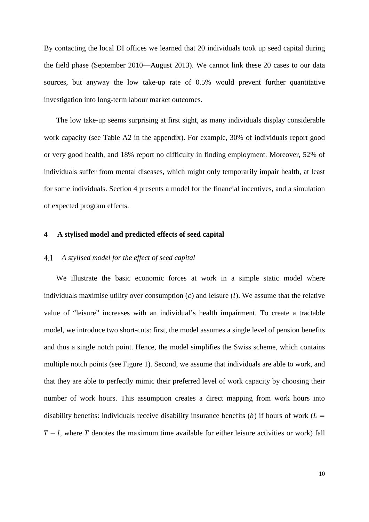By contacting the local DI offices we learned that 20 individuals took up seed capital during the field phase (September 2010—August 2013). We cannot link these 20 cases to our data sources, but anyway the low take-up rate of 0.5% would prevent further quantitative investigation into long-term labour market outcomes.

The low take-up seems surprising at first sight, as many individuals display considerable work capacity (see Table A2 in the appendix). For example, 30% of individuals report good or very good health, and 18% report no difficulty in finding employment. Moreover, 52% of individuals suffer from mental diseases, which might only temporarily impair health, at least for some individuals. Section 4 presents a model for the financial incentives, and a simulation of expected program effects.

#### **4 A stylised model and predicted effects of seed capital**

#### *A stylised model for the effect of seed capital*  $4.1$

We illustrate the basic economic forces at work in a simple static model where individuals maximise utility over consumption  $(c)$  and leisure (*l*). We assume that the relative value of "leisure" increases with an individual's health impairment. To create a tractable model, we introduce two short-cuts: first, the model assumes a single level of pension benefits and thus a single notch point. Hence, the model simplifies the Swiss scheme, which contains multiple notch points (see Figure 1). Second, we assume that individuals are able to work, and that they are able to perfectly mimic their preferred level of work capacity by choosing their number of work hours. This assumption creates a direct mapping from work hours into disability benefits: individuals receive disability insurance benefits (b) if hours of work ( $L =$  $T - l$ , where T denotes the maximum time available for either leisure activities or work) fall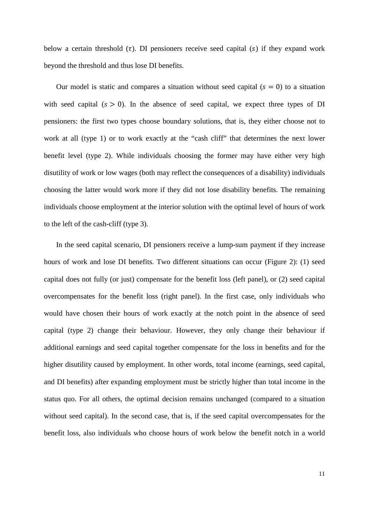below a certain threshold  $(\tau)$ . DI pensioners receive seed capital (s) if they expand work beyond the threshold and thus lose DI benefits.

Our model is static and compares a situation without seed capital  $(s = 0)$  to a situation with seed capital  $(s > 0)$ . In the absence of seed capital, we expect three types of DI pensioners: the first two types choose boundary solutions, that is, they either choose not to work at all (type 1) or to work exactly at the "cash cliff" that determines the next lower benefit level (type 2). While individuals choosing the former may have either very high disutility of work or low wages (both may reflect the consequences of a disability) individuals choosing the latter would work more if they did not lose disability benefits. The remaining individuals choose employment at the interior solution with the optimal level of hours of work to the left of the cash-cliff (type 3).

In the seed capital scenario, DI pensioners receive a lump-sum payment if they increase hours of work and lose DI benefits. Two different situations can occur (Figure 2): (1) seed capital does not fully (or just) compensate for the benefit loss (left panel), or (2) seed capital overcompensates for the benefit loss (right panel). In the first case, only individuals who would have chosen their hours of work exactly at the notch point in the absence of seed capital (type 2) change their behaviour. However, they only change their behaviour if additional earnings and seed capital together compensate for the loss in benefits and for the higher disutility caused by employment. In other words, total income (earnings, seed capital, and DI benefits) after expanding employment must be strictly higher than total income in the status quo. For all others, the optimal decision remains unchanged (compared to a situation without seed capital). In the second case, that is, if the seed capital overcompensates for the benefit loss, also individuals who choose hours of work below the benefit notch in a world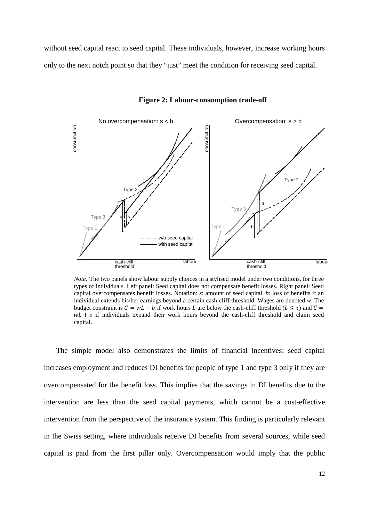without seed capital react to seed capital. These individuals, however, increase working hours only to the next notch point so that they "just" meet the condition for receiving seed capital.



**Figure 2: Labour-consumption trade-off**

*Note:* The two panels show labour supply choices in a stylised model under two conditions, for three types of individuals. Left panel: Seed capital does not compensate benefit losses. Right panel: Seed capital overcompensates benefit losses. Notation: *s*: amount of seed capital, *b*: loss of benefits if an individual extends his/her earnings beyond a certain cash-cliff threshold. Wages are denoted *w*. The budget constraint is  $C = wL + b$  if work hours L are below the cash-cliff threshold ( $L \leq \tau$ ) and  $C =$  $wL + s$  if individuals expand their work hours beyond the cash-cliff threshold and claim seed capital.

The simple model also demonstrates the limits of financial incentives: seed capital increases employment and reduces DI benefits for people of type 1 and type 3 only if they are overcompensated for the benefit loss. This implies that the savings in DI benefits due to the intervention are less than the seed capital payments, which cannot be a cost-effective intervention from the perspective of the insurance system. This finding is particularly relevant in the Swiss setting, where individuals receive DI benefits from several sources, while seed capital is paid from the first pillar only. Overcompensation would imply that the public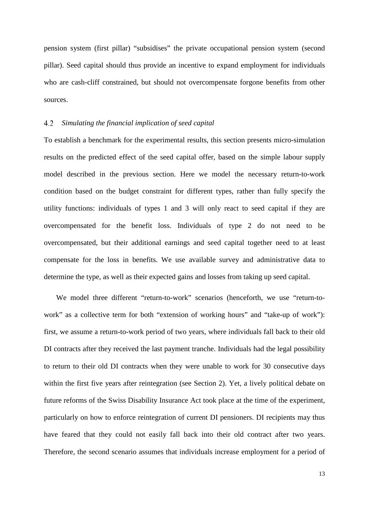pension system (first pillar) "subsidises" the private occupational pension system (second pillar). Seed capital should thus provide an incentive to expand employment for individuals who are cash-cliff constrained, but should not overcompensate forgone benefits from other sources.

#### $4.2$ *Simulating the financial implication of seed capital*

To establish a benchmark for the experimental results, this section presents micro-simulation results on the predicted effect of the seed capital offer, based on the simple labour supply model described in the previous section. Here we model the necessary return-to-work condition based on the budget constraint for different types, rather than fully specify the utility functions: individuals of types 1 and 3 will only react to seed capital if they are overcompensated for the benefit loss. Individuals of type 2 do not need to be overcompensated, but their additional earnings and seed capital together need to at least compensate for the loss in benefits. We use available survey and administrative data to determine the type, as well as their expected gains and losses from taking up seed capital.

We model three different "return-to-work" scenarios (henceforth, we use "return-towork" as a collective term for both "extension of working hours" and "take-up of work"): first, we assume a return-to-work period of two years, where individuals fall back to their old DI contracts after they received the last payment tranche. Individuals had the legal possibility to return to their old DI contracts when they were unable to work for 30 consecutive days within the first five years after reintegration (see Section 2). Yet, a lively political debate on future reforms of the Swiss Disability Insurance Act took place at the time of the experiment, particularly on how to enforce reintegration of current DI pensioners. DI recipients may thus have feared that they could not easily fall back into their old contract after two years. Therefore, the second scenario assumes that individuals increase employment for a period of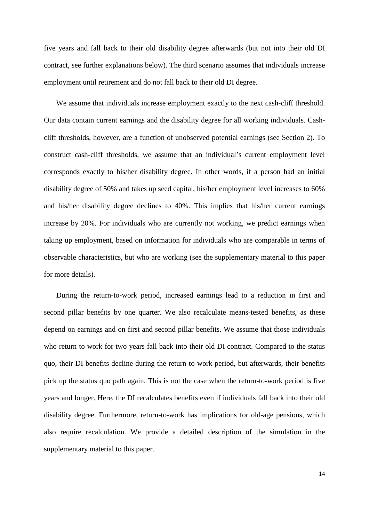five years and fall back to their old disability degree afterwards (but not into their old DI contract, see further explanations below). The third scenario assumes that individuals increase employment until retirement and do not fall back to their old DI degree.

We assume that individuals increase employment exactly to the next cash-cliff threshold. Our data contain current earnings and the disability degree for all working individuals. Cashcliff thresholds, however, are a function of unobserved potential earnings (see Section 2). To construct cash-cliff thresholds, we assume that an individual's current employment level corresponds exactly to his/her disability degree. In other words, if a person had an initial disability degree of 50% and takes up seed capital, his/her employment level increases to 60% and his/her disability degree declines to 40%. This implies that his/her current earnings increase by 20%. For individuals who are currently not working, we predict earnings when taking up employment, based on information for individuals who are comparable in terms of observable characteristics, but who are working (see the supplementary material to this paper for more details).

During the return-to-work period, increased earnings lead to a reduction in first and second pillar benefits by one quarter. We also recalculate means-tested benefits, as these depend on earnings and on first and second pillar benefits. We assume that those individuals who return to work for two years fall back into their old DI contract. Compared to the status quo, their DI benefits decline during the return-to-work period, but afterwards, their benefits pick up the status quo path again. This is not the case when the return-to-work period is five years and longer. Here, the DI recalculates benefits even if individuals fall back into their old disability degree. Furthermore, return-to-work has implications for old-age pensions, which also require recalculation. We provide a detailed description of the simulation in the supplementary material to this paper.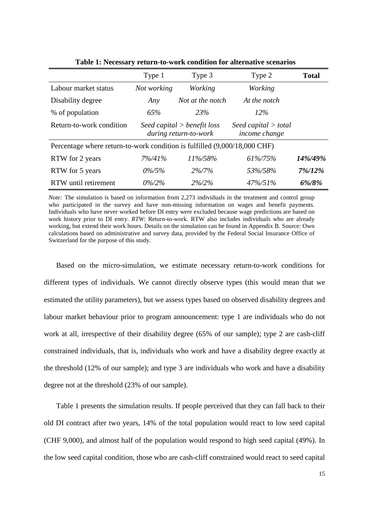|                                                                           | Type 1      | Type 3                                                 | Type 2                                  | <b>Total</b> |
|---------------------------------------------------------------------------|-------------|--------------------------------------------------------|-----------------------------------------|--------------|
| Labour market status                                                      | Not working | Working                                                | <b>Working</b>                          |              |
| Disability degree                                                         | Any         | Not at the notch                                       | At the notch                            |              |
| % of population                                                           | 65%         | <b>23%</b>                                             | 12%                                     |              |
| Return-to-work condition                                                  |             | Seed capital $>$ benefit loss<br>during return-to-work | Seed capital $>$ total<br>income change |              |
| Percentage where return-to-work condition is fulfilled (9,000/18,000 CHF) |             |                                                        |                                         |              |
| RTW for 2 years                                                           | 7%/41%      | 11%/58%                                                | 61%/75%                                 | 14%/49%      |
| RTW for 5 years                                                           | $0\%/5\%$   | $2\%/7\%$                                              | 53%/58%                                 | 7%/12%       |
| RTW until retirement                                                      | $0\%/2\%$   | $2\%/2\%$                                              | $47\%/51\%$                             | 6%/8%        |

**Table 1: Necessary return-to-work condition for alternative scenarios**

*Note:* The simulation is based on information from 2,273 individuals in the treatment and control group who participated in the survey and have non-missing information on wages and benefit payments. Individuals who have never worked before DI entry were excluded because wage predictions are based on work history prior to DI entry. *RTW*: Return-to-work. RTW also includes individuals who are already working, but extend their work hours. Details on the simulation can be found in Appendix B. Source: Own calculations based on administrative and survey data, provided by the Federal Social Insurance Office of Switzerland for the purpose of this study.

Based on the micro-simulation, we estimate necessary return-to-work conditions for different types of individuals. We cannot directly observe types (this would mean that we estimated the utility parameters), but we assess types based on observed disability degrees and labour market behaviour prior to program announcement: type 1 are individuals who do not work at all, irrespective of their disability degree (65% of our sample); type 2 are cash-cliff constrained individuals, that is, individuals who work and have a disability degree exactly at the threshold (12% of our sample); and type 3 are individuals who work and have a disability degree not at the threshold (23% of our sample).

Table 1 presents the simulation results. If people perceived that they can fall back to their old DI contract after two years, 14% of the total population would react to low seed capital (CHF 9,000), and almost half of the population would respond to high seed capital (49%). In the low seed capital condition, those who are cash-cliff constrained would react to seed capital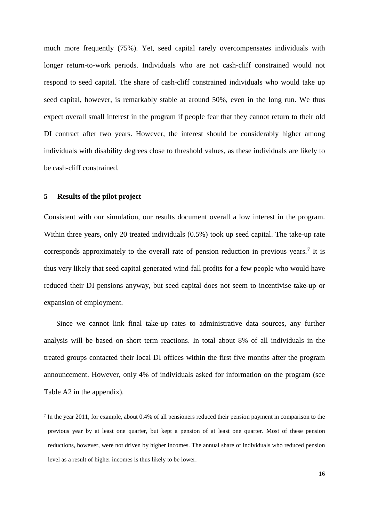much more frequently (75%). Yet, seed capital rarely overcompensates individuals with longer return-to-work periods. Individuals who are not cash-cliff constrained would not respond to seed capital. The share of cash-cliff constrained individuals who would take up seed capital, however, is remarkably stable at around 50%, even in the long run. We thus expect overall small interest in the program if people fear that they cannot return to their old DI contract after two years. However, the interest should be considerably higher among individuals with disability degrees close to threshold values, as these individuals are likely to be cash-cliff constrained.

#### **5 Results of the pilot project**

-

Consistent with our simulation, our results document overall a low interest in the program. Within three years, only 20 treated individuals (0.5%) took up seed capital. The take-up rate corresponds approximately to the overall rate of pension reduction in previous years.<sup>[7](#page-17-0)</sup> It is thus very likely that seed capital generated wind-fall profits for a few people who would have reduced their DI pensions anyway, but seed capital does not seem to incentivise take-up or expansion of employment.

Since we cannot link final take-up rates to administrative data sources, any further analysis will be based on short term reactions. In total about 8% of all individuals in the treated groups contacted their local DI offices within the first five months after the program announcement. However, only 4% of individuals asked for information on the program (see Table A2 in the appendix).

<span id="page-17-0"></span> $<sup>7</sup>$  In the year 2011, for example, about 0.4% of all pensioners reduced their pension payment in comparison to the</sup> previous year by at least one quarter, but kept a pension of at least one quarter. Most of these pension reductions, however, were not driven by higher incomes. The annual share of individuals who reduced pension level as a result of higher incomes is thus likely to be lower.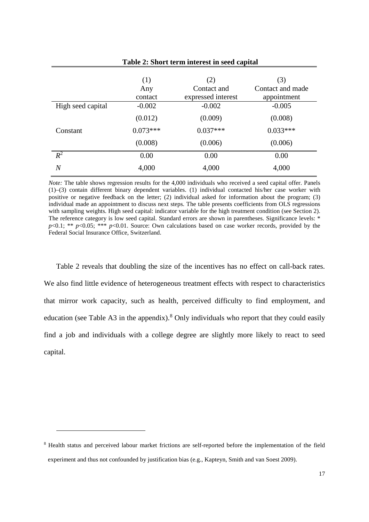| Table 2: Short term interest in seed capital |                       |                                          |                                        |
|----------------------------------------------|-----------------------|------------------------------------------|----------------------------------------|
|                                              | (1)<br>Any<br>contact | (2)<br>Contact and<br>expressed interest | (3)<br>Contact and made<br>appointment |
| High seed capital                            | $-0.002$              | $-0.002$                                 | $-0.005$                               |
|                                              | (0.012)               | (0.009)                                  | (0.008)                                |
| Constant                                     | $0.073***$            | $0.037***$                               | $0.033***$                             |
|                                              | (0.008)               | (0.006)                                  | (0.006)                                |
| $R^2$                                        | 0.00                  | 0.00                                     | 0.00                                   |
| $\overline{N}$                               | 4,000                 | 4,000                                    | 4,000                                  |

*Note:* The table shows regression results for the 4,000 individuals who received a seed capital offer. Panels (1)–(3) contain different binary dependent variables. (1) individual contacted his/her case worker with positive or negative feedback on the letter; (2) individual asked for information about the program; (3) individual made an appointment to discuss next steps. The table presents coefficients from OLS regressions with sampling weights. High seed capital: indicator variable for the high treatment condition (see Section 2). The reference category is low seed capital. Standard errors are shown in parentheses. Significance levels: \* *p*<0.1; \*\* *p*<0.05; \*\*\* *p*<0.01. Source: Own calculations based on case worker records, provided by the Federal Social Insurance Office, Switzerland.

Table 2 reveals that doubling the size of the incentives has no effect on call-back rates. We also find little evidence of heterogeneous treatment effects with respect to characteristics that mirror work capacity, such as health, perceived difficulty to find employment, and education (see Table A3 in the appendix).<sup>[8](#page-18-0)</sup> Only individuals who report that they could easily find a job and individuals with a college degree are slightly more likely to react to seed capital.

<u>.</u>

<span id="page-18-0"></span><sup>8</sup> Health status and perceived labour market frictions are self-reported before the implementation of the field experiment and thus not confounded by justification bias (e.g., Kapteyn, Smith and van Soest 2009).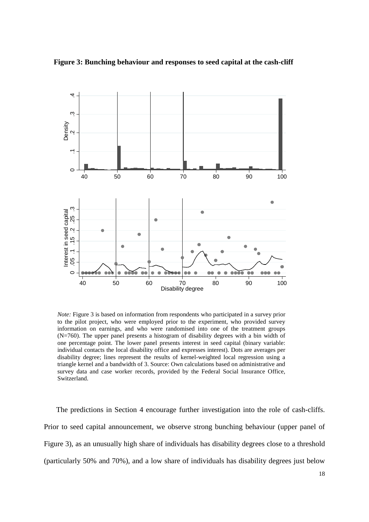



*Note:* Figure 3 is based on information from respondents who participated in a survey prior to the pilot project, who were employed prior to the experiment, who provided survey information on earnings, and who were randomised into one of the treatment groups (N=760). The upper panel presents a histogram of disability degrees with a bin width of one percentage point. The lower panel presents interest in seed capital (binary variable: individual contacts the local disability office and expresses interest). Dots are averages per disability degree; lines represent the results of kernel-weighted local regression using a triangle kernel and a bandwidth of 3. Source: Own calculations based on administrative and survey data and case worker records, provided by the Federal Social Insurance Office, Switzerland.

The predictions in Section 4 encourage further investigation into the role of cash-cliffs. Prior to seed capital announcement, we observe strong bunching behaviour (upper panel of Figure 3), as an unusually high share of individuals has disability degrees close to a threshold (particularly 50% and 70%), and a low share of individuals has disability degrees just below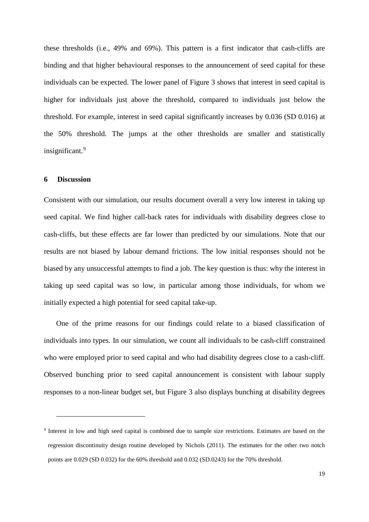these thresholds (i.e., 49% and 69%). This pattern is a first indicator that cash-cliffs are binding and that higher behavioural responses to the announcement of seed capital for these individuals can be expected. The lower panel of Figure 3 shows that interest in seed capital is higher for individuals just above the threshold, compared to individuals just below the threshold. For example, interest in seed capital significantly increases by 0.036 (SD 0.016) at the 50% threshold. The jumps at the other thresholds are smaller and statistically insignificant.<sup>[9](#page-20-0)</sup>

#### **6 Discussion**

<u>.</u>

Consistent with our simulation, our results document overall a very low interest in taking up seed capital. We find higher call-back rates for individuals with disability degrees close to cash-cliffs, but these effects are far lower than predicted by our simulations. Note that our results are not biased by labour demand frictions. The low initial responses should not be biased by any unsuccessful attempts to find a job. The key question is thus: why the interest in taking up seed capital was so low, in particular among those individuals, for whom we initially expected a high potential for seed capital take-up.

One of the prime reasons for our findings could relate to a biased classification of individuals into types. In our simulation, we count all individuals to be cash-cliff constrained who were employed prior to seed capital and who had disability degrees close to a cash-cliff. Observed bunching prior to seed capital announcement is consistent with labour supply responses to a non-linear budget set, but Figure 3 also displays bunching at disability degrees

<span id="page-20-0"></span><sup>9</sup> Interest in low and high seed capital is combined due to sample size restrictions. Estimates are based on the regression discontinuity design routine developed by Nichols (2011). The estimates for the other two notch points are 0.029 (SD 0.032) for the 60% threshold and 0.032 (SD.0243) for the 70% threshold.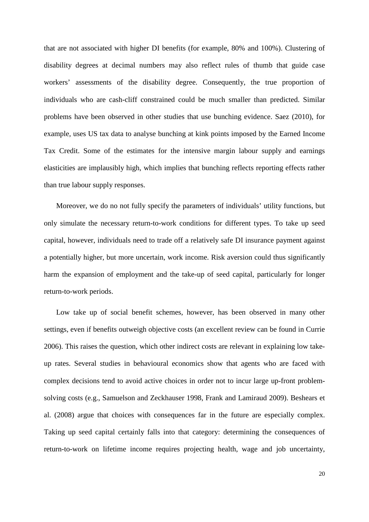that are not associated with higher DI benefits (for example, 80% and 100%). Clustering of disability degrees at decimal numbers may also reflect rules of thumb that guide case workers' assessments of the disability degree. Consequently, the true proportion of individuals who are cash-cliff constrained could be much smaller than predicted. Similar problems have been observed in other studies that use bunching evidence. Saez (2010), for example, uses US tax data to analyse bunching at kink points imposed by the Earned Income Tax Credit. Some of the estimates for the intensive margin labour supply and earnings elasticities are implausibly high, which implies that bunching reflects reporting effects rather than true labour supply responses.

Moreover, we do no not fully specify the parameters of individuals' utility functions, but only simulate the necessary return-to-work conditions for different types. To take up seed capital, however, individuals need to trade off a relatively safe DI insurance payment against a potentially higher, but more uncertain, work income. Risk aversion could thus significantly harm the expansion of employment and the take-up of seed capital, particularly for longer return-to-work periods.

Low take up of social benefit schemes, however, has been observed in many other settings, even if benefits outweigh objective costs (an excellent review can be found in Currie 2006). This raises the question, which other indirect costs are relevant in explaining low takeup rates. Several studies in behavioural economics show that agents who are faced with complex decisions tend to avoid active choices in order not to incur large up-front problemsolving costs (e.g., Samuelson and Zeckhauser 1998, Frank and Lamiraud 2009). Beshears et al. (2008) argue that choices with consequences far in the future are especially complex. Taking up seed capital certainly falls into that category: determining the consequences of return-to-work on lifetime income requires projecting health, wage and job uncertainty,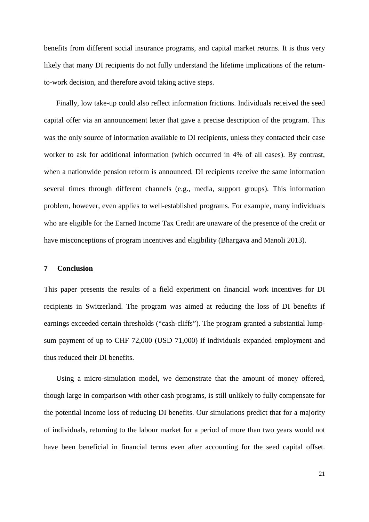benefits from different social insurance programs, and capital market returns. It is thus very likely that many DI recipients do not fully understand the lifetime implications of the returnto-work decision, and therefore avoid taking active steps.

Finally, low take-up could also reflect information frictions. Individuals received the seed capital offer via an announcement letter that gave a precise description of the program. This was the only source of information available to DI recipients, unless they contacted their case worker to ask for additional information (which occurred in 4% of all cases). By contrast, when a nationwide pension reform is announced, DI recipients receive the same information several times through different channels (e.g., media, support groups). This information problem, however, even applies to well-established programs. For example, many individuals who are eligible for the Earned Income Tax Credit are unaware of the presence of the credit or have misconceptions of program incentives and eligibility (Bhargava and Manoli 2013).

#### **7 Conclusion**

This paper presents the results of a field experiment on financial work incentives for DI recipients in Switzerland. The program was aimed at reducing the loss of DI benefits if earnings exceeded certain thresholds ("cash-cliffs"). The program granted a substantial lumpsum payment of up to CHF 72,000 (USD 71,000) if individuals expanded employment and thus reduced their DI benefits.

Using a micro-simulation model, we demonstrate that the amount of money offered, though large in comparison with other cash programs, is still unlikely to fully compensate for the potential income loss of reducing DI benefits. Our simulations predict that for a majority of individuals, returning to the labour market for a period of more than two years would not have been beneficial in financial terms even after accounting for the seed capital offset.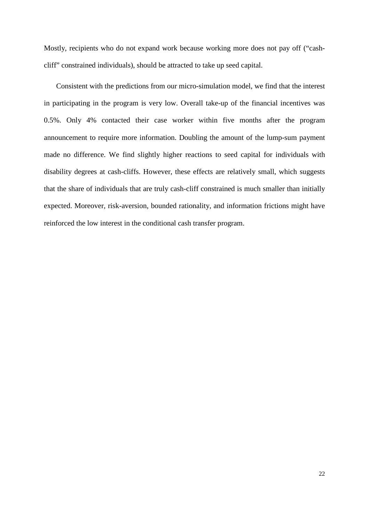Mostly, recipients who do not expand work because working more does not pay off ("cashcliff" constrained individuals), should be attracted to take up seed capital.

Consistent with the predictions from our micro-simulation model, we find that the interest in participating in the program is very low. Overall take-up of the financial incentives was 0.5%. Only 4% contacted their case worker within five months after the program announcement to require more information. Doubling the amount of the lump-sum payment made no difference. We find slightly higher reactions to seed capital for individuals with disability degrees at cash-cliffs. However, these effects are relatively small, which suggests that the share of individuals that are truly cash-cliff constrained is much smaller than initially expected. Moreover, risk-aversion, bounded rationality, and information frictions might have reinforced the low interest in the conditional cash transfer program.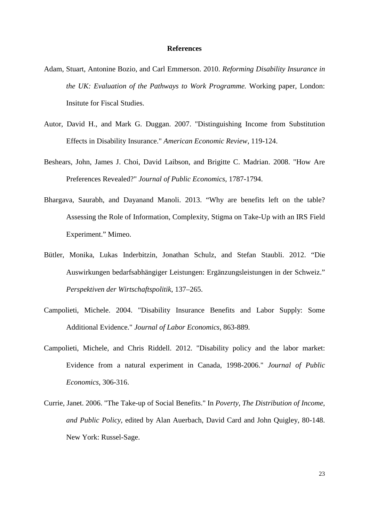#### **References**

- Adam, Stuart, Antonine Bozio, and Carl Emmerson. 2010. *Reforming Disability Insurance in the UK: Evaluation of the Pathways to Work Programme.* Working paper, London: Insitute for Fiscal Studies.
- Autor, David H., and Mark G. Duggan. 2007. "Distinguishing Income from Substitution Effects in Disability Insurance." *American Economic Review*, 119-124.
- Beshears, John, James J. Choi, David Laibson, and Brigitte C. Madrian. 2008. "How Are Preferences Revealed?" *Journal of Public Economics*, 1787-1794.
- Bhargava, Saurabh, and Dayanand Manoli. 2013. "Why are benefits left on the table? Assessing the Role of Information, Complexity, Stigma on Take-Up with an IRS Field Experiment." Mimeo.
- Bütler, Monika, Lukas Inderbitzin, Jonathan Schulz, and Stefan Staubli. 2012. "Die Auswirkungen bedarfsabhängiger Leistungen: Ergänzungsleistungen in der Schweiz." *Perspektiven der Wirtschaftspolitik*, 137–265.
- Campolieti, Michele. 2004. "Disability Insurance Benefits and Labor Supply: Some Additional Evidence." *Journal of Labor Economics*, 863-889.
- Campolieti, Michele, and Chris Riddell. 2012. "Disability policy and the labor market: Evidence from a natural experiment in Canada, 1998-2006." *Journal of Public Economics*, 306-316.
- Currie, Janet. 2006. "The Take-up of Social Benefits." In *Poverty, The Distribution of Income, and Public Policy*, edited by Alan Auerbach, David Card and John Quigley, 80-148. New York: Russel-Sage.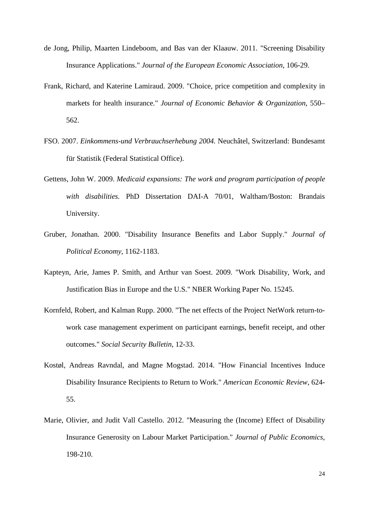- de Jong, Philip, Maarten Lindeboom, and Bas van der Klaauw. 2011. "Screening Disability Insurance Applications." *Journal of the European Economic Association*, 106-29.
- Frank, Richard, and Katerine Lamiraud. 2009. "Choice, price competition and complexity in markets for health insurance." *Journal of Economic Behavior & Organization*, 550– 562.
- FSO. 2007. *Einkommens-und Verbrauchserhebung 2004.* Neuchâtel, Switzerland: Bundesamt für Statistik (Federal Statistical Office).
- Gettens, John W. 2009. *Medicaid expansions: The work and program participation of people with disabilities.* PhD Dissertation DAI-A 70/01, Waltham/Boston: Brandais University.
- Gruber, Jonathan. 2000. "Disability Insurance Benefits and Labor Supply." *Journal of Political Economy*, 1162-1183.
- Kapteyn, Arie, James P. Smith, and Arthur van Soest. 2009. "Work Disability, Work, and Justification Bias in Europe and the U.S." NBER Working Paper No. 15245.
- Kornfeld, Robert, and Kalman Rupp. 2000. "The net effects of the Project NetWork return-towork case management experiment on participant earnings, benefit receipt, and other outcomes." *Social Security Bulletin*, 12-33.
- Kostøl, Andreas Ravndal, and Magne Mogstad. 2014. "How Financial Incentives Induce Disability Insurance Recipients to Return to Work." *American Economic Review*, 624- 55.
- Marie, Olivier, and Judit Vall Castello. 2012. "Measuring the (Income) Effect of Disability Insurance Generosity on Labour Market Participation." *Journal of Public Economics*, 198-210.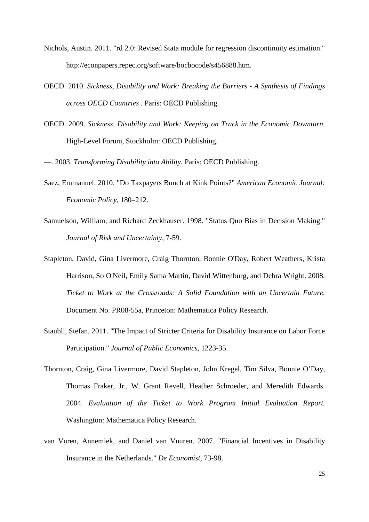- Nichols, Austin. 2011. "rd 2.0: Revised Stata module for regression discontinuity estimation." http://econpapers.repec.org/software/bocbocode/s456888.htm.
- OECD. 2010. *Sickness, Disability and Work: Breaking the Barriers - A Synthesis of Findings across OECD Countries .* Paris: OECD Publishing.
- OECD. 2009. *Sickness, Disability and Work: Keeping on Track in the Economic Downturn.* High-Level Forum, Stockholm: OECD Publishing.

—. 2003. *Transforming Disability into Ability.* Paris: OECD Publishing.

- Saez, Emmanuel. 2010. "Do Taxpayers Bunch at Kink Points?" *American Economic Journal: Economic Policy*, 180–212.
- Samuelson, William, and Richard Zeckhauser. 1998. "Status Quo Bias in Decision Making." *Journal of Risk and Uncertainty*, 7-59.
- Stapleton, David, Gina Livermore, Craig Thornton, Bonnie O'Day, Robert Weathers, Krista Harrison, So O'Neil, Emily Sama Martin, David Wittenburg, and Debra Wright. 2008. *Ticket to Work at the Crossroads: A Solid Foundation with an Uncertain Future.* Document No. PR08-55a, Princeton: Mathematica Policy Research.
- Staubli, Stefan. 2011. "The Impact of Stricter Criteria for Disability Insurance on Labor Force Participation." *Journal of Public Economics*, 1223-35.
- Thornton, Craig, Gina Livermore, David Stapleton, John Kregel, Tim Silva, Bonnie O'Day, Thomas Fraker, Jr., W. Grant Revell, Heather Schroeder, and Meredith Edwards. 2004. *Evaluation of the Ticket to Work Program Initial Evaluation Report.* Washington: Mathematica Policy Research.
- van Vuren, Annemiek, and Daniel van Vuuren. 2007. "Financial Incentives in Disability Insurance in the Netherlands." *De Economist*, 73-98.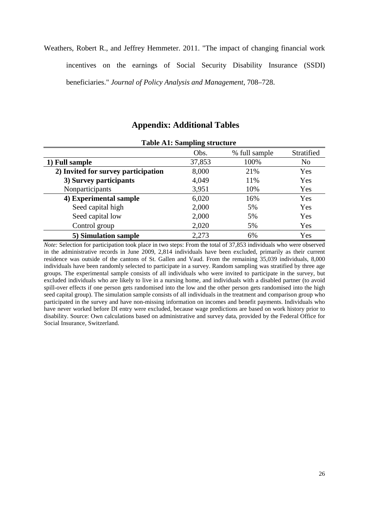Weathers, Robert R., and Jeffrey Hemmeter. 2011. "The impact of changing financial work

incentives on the earnings of Social Security Disability Insurance (SSDI) beneficiaries." *Journal of Policy Analysis and Management*, 708–728.

### **Appendix: Additional Tables**

|                                     | Obs.   | % full sample | Stratified     |
|-------------------------------------|--------|---------------|----------------|
| 1) Full sample                      | 37,853 | 100%          | N <sub>o</sub> |
| 2) Invited for survey participation | 8,000  | 21%           | Yes            |
| 3) Survey participants              | 4,049  | 11%           | Yes            |
| Nonparticipants                     | 3,951  | 10%           | Yes            |
| 4) Experimental sample              | 6,020  | 16%           | Yes            |
| Seed capital high                   | 2,000  | 5%            | Yes            |
| Seed capital low                    | 2,000  | 5%            | Yes            |
| Control group                       | 2,020  | 5%            | Yes            |
| 5) Simulation sample                | 2,273  | 6%            | Yes            |

#### **Table A1: Sampling structure**

*Note:* Selection for participation took place in two steps: From the total of 37,853 individuals who were observed in the administrative records in June 2009, 2,814 individuals have been excluded, primarily as their current residence was outside of the cantons of St. Gallen and Vaud. From the remaining 35,039 individuals, 8,000 individuals have been randomly selected to participate in a survey. Random sampling was stratified by three age groups. The experimental sample consists of all individuals who were invited to participate in the survey, but excluded individuals who are likely to live in a nursing home, and individuals with a disabled partner (to avoid spill-over effects if one person gets randomised into the low and the other person gets randomised into the high seed capital group). The simulation sample consists of all individuals in the treatment and comparison group who participated in the survey and have non-missing information on incomes and benefit payments. Individuals who have never worked before DI entry were excluded, because wage predictions are based on work history prior to disability. Source: Own calculations based on administrative and survey data, provided by the Federal Office for Social Insurance, Switzerland.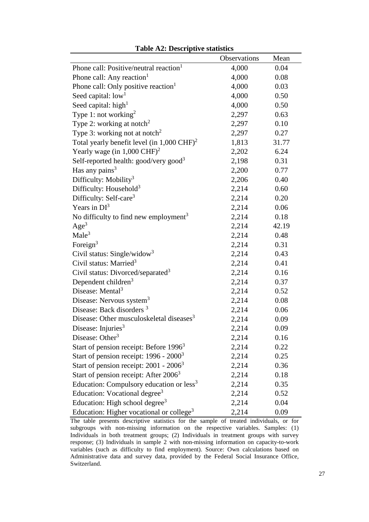|                                                                     | Observations | Mean  |
|---------------------------------------------------------------------|--------------|-------|
| Phone call: Positive/neutral reaction <sup>1</sup>                  | 4,000        | 0.04  |
| Phone call: Any reaction <sup>1</sup>                               | 4,000        | 0.08  |
| Phone call: Only positive reaction <sup>1</sup>                     | 4,000        | 0.03  |
| Seed capital: low <sup>1</sup>                                      | 4,000        | 0.50  |
| Seed capital: high <sup>1</sup>                                     | 4,000        | 0.50  |
| Type 1: not working <sup>2</sup>                                    | 2,297        | 0.63  |
| Type 2: working at notch <sup>2</sup>                               | 2,297        | 0.10  |
| Type 3: working not at notch <sup>2</sup>                           | 2,297        | 0.27  |
| Total yearly benefit level (in $1,000 \text{ CHF}^2$ ) <sup>2</sup> | 1,813        | 31.77 |
| Yearly wage (in $1,000 \text{ CHF}^2$ ) <sup>2</sup>                | 2,202        | 6.24  |
| Self-reported health: good/very good <sup>3</sup>                   | 2,198        | 0.31  |
| Has any pains $3$                                                   | 2,200        | 0.77  |
| Difficulty: Mobility <sup>3</sup>                                   | 2,206        | 0.40  |
| Difficulty: Household <sup>3</sup>                                  | 2,214        | 0.60  |
| Difficulty: Self-care <sup>3</sup>                                  | 2,214        | 0.20  |
| Years in $DI^3$                                                     | 2,214        | 0.06  |
| No difficulty to find new employment <sup>3</sup>                   | 2,214        | 0.18  |
| Age <sup>3</sup>                                                    | 2,214        | 42.19 |
| Male <sup>3</sup>                                                   | 2,214        | 0.48  |
| Foreign <sup>3</sup>                                                | 2,214        | 0.31  |
| Civil status: Single/widow <sup>3</sup>                             | 2,214        | 0.43  |
| Civil status: Married <sup>3</sup>                                  | 2,214        | 0.41  |
| Civil status: Divorced/separated <sup>3</sup>                       | 2,214        | 0.16  |
| Dependent children <sup>3</sup>                                     | 2,214        | 0.37  |
| Disease: Mental <sup>3</sup>                                        | 2,214        | 0.52  |
| Disease: Nervous system <sup>3</sup>                                | 2,214        | 0.08  |
| Disease: Back disorders <sup>3</sup>                                | 2,214        | 0.06  |
| Disease: Other musculoskeletal diseases <sup>3</sup>                | 2,214        | 0.09  |
| Disease: Injuries <sup>3</sup>                                      | 2,214        | 0.09  |
| Disease: Other <sup>3</sup>                                         | 2,214        | 0.16  |
| Start of pension receipt: Before 1996 <sup>3</sup>                  | 2,214        | 0.22  |
| Start of pension receipt: $1996 - 2000^3$                           | 2,214        | 0.25  |
| Start of pension receipt: $2001 - 2006^3$                           | 2,214        | 0.36  |
| Start of pension receipt: After $20063$                             | 2,214        | 0.18  |
| Education: Compulsory education or $less3$                          | 2,214        | 0.35  |
| Education: Vocational degree <sup>3</sup>                           | 2,214        | 0.52  |
| Education: High school degree <sup>3</sup>                          | 2,214        | 0.04  |
| Education: Higher vocational or college <sup>3</sup>                | 2,214        | 0.09  |

The table presents descriptive statistics for the sample of treated individuals, or for subgroups with non-missing information on the respective variables. Samples: (1) Individuals in both treatment groups; (2) Individuals in treatment groups with survey response; (3) Individuals in sample 2 with non-missing information on capacity-to-work variables (such as difficulty to find employment). Source: Own calculations based on Administrative data and survey data, provided by the Federal Social Insurance Office, Switzerland.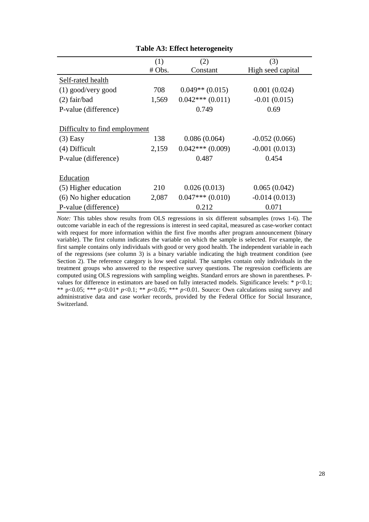|                               | (1)    | (2)               | (3)               |
|-------------------------------|--------|-------------------|-------------------|
|                               | # Obs. | Constant          | High seed capital |
| Self-rated health             |        |                   |                   |
| $(1)$ good/very good          | 708    | $0.049**$ (0.015) | 0.001(0.024)      |
| $(2)$ fair/bad                | 1,569  | $0.042***(0.011)$ | $-0.01(0.015)$    |
| P-value (difference)          |        | 0.749             | 0.69              |
| Difficulty to find employment |        |                   |                   |
| $(3)$ Easy                    | 138    | 0.086(0.064)      | $-0.052(0.066)$   |
| (4) Difficult                 | 2,159  | $0.042***(0.009)$ | $-0.001(0.013)$   |
| P-value (difference)          |        | 0.487             | 0.454             |
| Education                     |        |                   |                   |
| (5) Higher education          | 210    | 0.026(0.013)      | 0.065(0.042)      |
| (6) No higher education       | 2,087  | $0.047***(0.010)$ | $-0.014(0.013)$   |
| P-value (difference)          |        | 0.212             | 0.071             |

#### **Table A3: Effect heterogeneity**

*Note:* This tables show results from OLS regressions in six different subsamples (rows 1-6). The outcome variable in each of the regressions is interest in seed capital, measured as case-worker contact with request for more information within the first five months after program announcement (binary variable). The first column indicates the variable on which the sample is selected. For example, the first sample contains only individuals with good or very good health. The independent variable in each of the regressions (see column 3) is a binary variable indicating the high treatment condition (see Section 2). The reference category is low seed capital. The samples contain only individuals in the treatment groups who answered to the respective survey questions. The regression coefficients are computed using OLS regressions with sampling weights. Standard errors are shown in parentheses. Pvalues for difference in estimators are based on fully interacted models. Significance levels: \* p<0.1; \*\* p<0.05; \*\*\* p<0.01\*  $p$ <0.1; \*\*  $p$ <0.05; \*\*\*  $p$ <0.01. Source: Own calculations using survey and administrative data and case worker records, provided by the Federal Office for Social Insurance, Switzerland.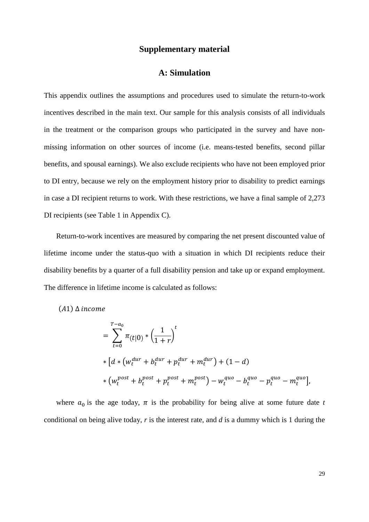### **Supplementary material**

### **A: Simulation**

This appendix outlines the assumptions and procedures used to simulate the return-to-work incentives described in the main text. Our sample for this analysis consists of all individuals in the treatment or the comparison groups who participated in the survey and have nonmissing information on other sources of income (i.e. means-tested benefits, second pillar benefits, and spousal earnings). We also exclude recipients who have not been employed prior to DI entry, because we rely on the employment history prior to disability to predict earnings in case a DI recipient returns to work. With these restrictions, we have a final sample of 2,273 DI recipients (see Table 1 in Appendix C).

Return-to-work incentives are measured by comparing the net present discounted value of lifetime income under the status-quo with a situation in which DI recipients reduce their disability benefits by a quarter of a full disability pension and take up or expand employment. The difference in lifetime income is calculated as follows:

 $(A1)$   $\Delta$  income

$$
= \sum_{t=0}^{T-a_0} \pi_{(t|0)} * \left(\frac{1}{1+r}\right)^t
$$
  
\n
$$
* \left[d * \left(w_t^{dur} + b_t^{dur} + p_t^{dur} + m_t^{dur}\right) + (1-d)\right]
$$
  
\n
$$
* \left(w_t^{post} + b_t^{post} + p_t^{post} + m_t^{post}\right) - w_t^{quo} - b_t^{quo} - p_t^{quo} - m_t^{quo}\right],
$$

where  $a_0$  is the age today,  $\pi$  is the probability for being alive at some future date *t* conditional on being alive today, *r* is the interest rate, and *d* is a dummy which is 1 during the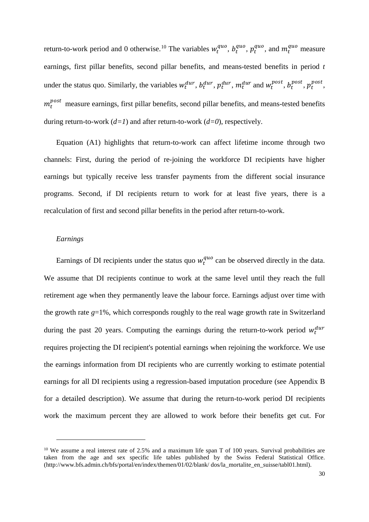return-to-work period and 0 otherwise.<sup>[10](#page-31-0)</sup> The variables  $w_t^{quo}$ ,  $b_t^{quo}$ ,  $p_t^{quo}$ , and  $m_t^{quo}$  measure earnings, first pillar benefits, second pillar benefits, and means-tested benefits in period *t* under the status quo. Similarly, the variables  $w_t^{dur}$ ,  $b_t^{dur}$ ,  $p_t^{dur}$ ,  $m_t^{dur}$  and  $w_t^{post}$ ,  $b_t^{post}$ ,  $p_t^{post}$ ,  $p_{\text{est}}^{post}$  measure earnings, first pillar benefits, second pillar benefits, and means-tested benefits during return-to-work (*d=1*) and after return-to-work (*d=0*), respectively.

Equation (A1) highlights that return-to-work can affect lifetime income through two channels: First, during the period of re-joining the workforce DI recipients have higher earnings but typically receive less transfer payments from the different social insurance programs. Second, if DI recipients return to work for at least five years, there is a recalculation of first and second pillar benefits in the period after return-to-work.

#### *Earnings*

-

Earnings of DI recipients under the status quo  $w_t^{quo}$  can be observed directly in the data. We assume that DI recipients continue to work at the same level until they reach the full retirement age when they permanently leave the labour force. Earnings adjust over time with the growth rate *g*=1%, which corresponds roughly to the real wage growth rate in Switzerland during the past 20 years. Computing the earnings during the return-to-work period  $w_t^{dur}$ requires projecting the DI recipient's potential earnings when rejoining the workforce. We use the earnings information from DI recipients who are currently working to estimate potential earnings for all DI recipients using a regression-based imputation procedure (see Appendix B for a detailed description). We assume that during the return-to-work period DI recipients work the maximum percent they are allowed to work before their benefits get cut. For

<span id="page-31-0"></span><sup>&</sup>lt;sup>10</sup> We assume a real interest rate of 2.5% and a maximum life span T of 100 years. Survival probabilities are taken from the age and sex specific life tables published by the Swiss Federal Statistical Office. [\(http://www.bfs.admin.ch/bfs/portal/en/index/themen/01/02/blank/](http://www.bfs.admin.ch/bfs/portal/en/index/themen/01/02/blank/) dos/la\_mortalite\_en\_suisse/tabl01.html).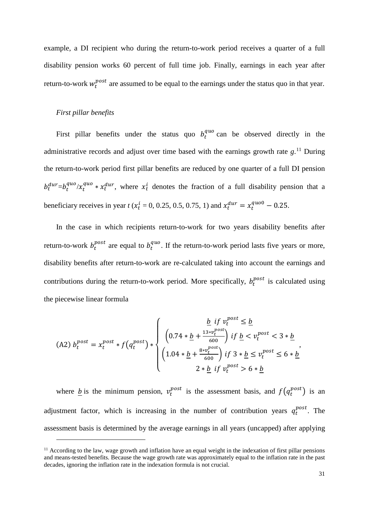example, a DI recipient who during the return-to-work period receives a quarter of a full disability pension works 60 percent of full time job. Finally, earnings in each year after return-to-work  $w_t^{post}$  are assumed to be equal to the earnings under the status quo in that year.

#### *First pillar benefits*

-

First pillar benefits under the status quo  $b_t^{quo}$  can be observed directly in the administrative records and adjust over time based with the earnings growth rate *g*. [11](#page-32-0) During the return-to-work period first pillar benefits are reduced by one quarter of a full DI pension  $b_t^{dur} = b_t^{quo}/x_t^{quo} * x_t^{dur}$ , where  $x_t^i$  denotes the fraction of a full disability pension that a beneficiary receives in year *t* ( $x_t^i = 0, 0.25, 0.5, 0.75, 1$ ) and  $x_t^{dur} = x_t^{qu00} - 0.25$ .

In the case in which recipients return-to-work for two years disability benefits after return-to-work  $b_t^{post}$  are equal to  $b_t^{quo}$ . If the return-to-work period lasts five years or more, disability benefits after return-to-work are re-calculated taking into account the earnings and contributions during the return-to-work period. More specifically,  $b_t^{post}$  is calculated using the piecewise linear formula

$$
(A2) b_t^{post} = x_t^{post} * f(q_t^{post}) * \begin{cases} \frac{\underline{b} \text{ if } v_t^{post} \leq \underline{b}}{(0.74 * \underline{b} + \frac{13 * v_t^{post}}{600}) \text{ if } \underline{b} < v_t^{post} < 3 * \underline{b} \\ (1.04 * \underline{b} + \frac{8 * v_t^{post}}{600}) \text{ if } 3 * \underline{b} \leq v_t^{post} \leq 6 * \underline{b} \\ 2 * \underline{b} \text{ if } v_t^{post} > 6 * \underline{b} \end{cases}
$$

where <u>b</u> is the minimum pension,  $v_t^{post}$  is the assessment basis, and  $f(q_t^{post})$  is an adjustment factor, which is increasing in the number of contribution years  $q_t^{post}$ . The assessment basis is determined by the average earnings in all years (uncapped) after applying

<span id="page-32-0"></span> $11$  According to the law, wage growth and inflation have an equal weight in the indexation of first pillar pensions and means-tested benefits. Because the wage growth rate was approximately equal to the inflation rate in the past decades, ignoring the inflation rate in the indexation formula is not crucial.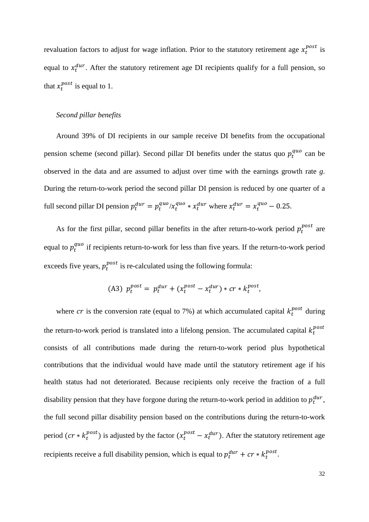revaluation factors to adjust for wage inflation. Prior to the statutory retirement age  $x_t^{post}$  is equal to  $x_t^{dur}$ . After the statutory retirement age DI recipients qualify for a full pension, so that  $x_t^{post}$  is equal to 1.

#### *Second pillar benefits*

Around 39% of DI recipients in our sample receive DI benefits from the occupational pension scheme (second pillar). Second pillar DI benefits under the status quo  $p_t^{quc}$  can be observed in the data and are assumed to adjust over time with the earnings growth rate *g*. During the return-to-work period the second pillar DI pension is reduced by one quarter of a full second pillar DI pension  $p_t^{dur} = p_t^{quo}/x_t^{quo} * x_t^{dur}$  where  $x_t^{dur} = x_t^{quo} - 0.25$ .

As for the first pillar, second pillar benefits in the after return-to-work period  $p_t^{post}$  are equal to  $p_t^{quo}$  if recipients return-to-work for less than five years. If the return-to-work period exceeds five years,  $p_t^{post}$  is re-calculated using the following formula:

$$
(A3) \t p_t^{post} = p_t^{dur} + (x_t^{post} - x_t^{dur}) * cr * k_t^{post},
$$

where cr is the conversion rate (equal to 7%) at which accumulated capital  $k_t^{post}$  during the return-to-work period is translated into a lifelong pension. The accumulated capital  $k_t^{pos}$ consists of all contributions made during the return-to-work period plus hypothetical contributions that the individual would have made until the statutory retirement age if his health status had not deteriorated. Because recipients only receive the fraction of a full disability pension that they have forgone during the return-to-work period in addition to  $p_t^{dur}$ , the full second pillar disability pension based on the contributions during the return-to-work period  $(cr * k_t^{post})$  is adjusted by the factor  $(x_t^{post} - x_t^{dur})$ . After the statutory retirement age recipients receive a full disability pension, which is equal to  $p_t^{dur} + cr * k_t^{post}$ .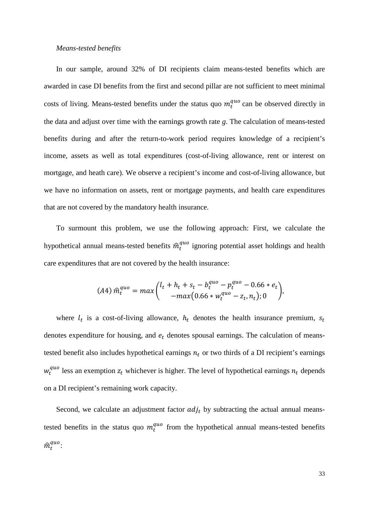#### *Means-tested benefits*

In our sample, around 32% of DI recipients claim means-tested benefits which are awarded in case DI benefits from the first and second pillar are not sufficient to meet minimal costs of living. Means-tested benefits under the status quo  $m_t^{quo}$  can be observed directly in the data and adjust over time with the earnings growth rate *g*. The calculation of means-tested benefits during and after the return-to-work period requires knowledge of a recipient's income, assets as well as total expenditures (cost-of-living allowance, rent or interest on mortgage, and heath care). We observe a recipient's income and cost-of-living allowance, but we have no information on assets, rent or mortgage payments, and health care expenditures that are not covered by the mandatory health insurance.

To surmount this problem, we use the following approach: First, we calculate the hypothetical annual means-tested benefits  $\hat{m}_t^{quo}$  ignoring potential asset holdings and health care expenditures that are not covered by the health insurance:

$$
(A4)\ \hat{m}_t^{quo} = max \binom{l_t + h_t + s_t - b_t^{quo} - p_t^{quo} - 0.66 * e_t}{-max(0.66 * w_t^{quo} - z_t, n_t); 0}
$$

where  $l_t$  is a cost-of-living allowance,  $h_t$  denotes the health insurance premium,  $s_t$ denotes expenditure for housing, and  $e_t$  denotes spousal earnings. The calculation of meanstested benefit also includes hypothetical earnings  $n_t$  or two thirds of a DI recipient's earnings  $w_t^{quo}$  less an exemption  $z_t$  whichever is higher. The level of hypothetical earnings  $n_t$  depends on a DI recipient's remaining work capacity.

Second, we calculate an adjustment factor  $adj_t$  by subtracting the actual annual meanstested benefits in the status quo  $m_t^{quo}$  from the hypothetical annual means-tested benefits  $\widehat{n}^{quo}_{t}$ :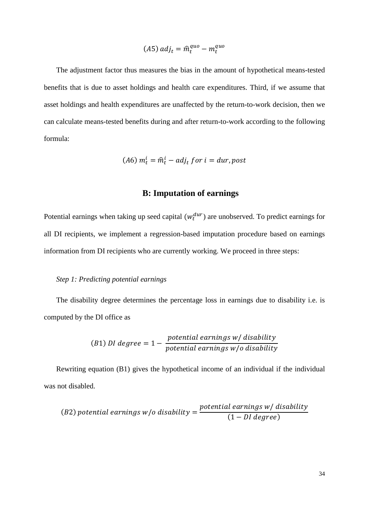$$
(A5) \; adj_t = \hat{m}_t^{quo} - m_t^{quo}
$$

The adjustment factor thus measures the bias in the amount of hypothetical means-tested benefits that is due to asset holdings and health care expenditures. Third, if we assume that asset holdings and health expenditures are unaffected by the return-to-work decision, then we can calculate means-tested benefits during and after return-to-work according to the following formula:

$$
(A6)\,m_t^i = \hat{m}_t^i - adj_t\, \text{for } i = dur, post
$$

### **B: Imputation of earnings**

Potential earnings when taking up seed capital  $(w_t^{dur})$  are unobserved. To predict earnings for all DI recipients, we implement a regression-based imputation procedure based on earnings information from DI recipients who are currently working. We proceed in three steps:

#### *Step 1: Predicting potential earnings*

The disability degree determines the percentage loss in earnings due to disability i.e. is computed by the DI office as

(B1) *DI degree* = 
$$
1 - \frac{potential earnings w / disability}{potential earnings w / o disability}
$$

Rewriting equation (B1) gives the hypothetical income of an individual if the individual was not disabled.

(B2) potential earnings w/o disability = 
$$
\frac{potential\ earnings\ w/\ disjoint\ y}{(1-DI\ degree)}
$$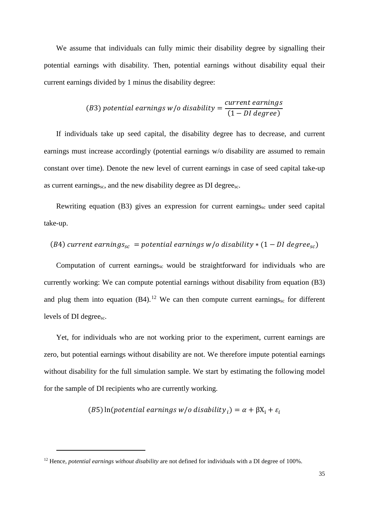We assume that individuals can fully mimic their disability degree by signalling their potential earnings with disability. Then, potential earnings without disability equal their current earnings divided by 1 minus the disability degree:

(B3) potential earnings w/o disability = 
$$
\frac{current\ earnings}{(1-DI\ degree)}
$$

If individuals take up seed capital, the disability degree has to decrease, and current earnings must increase accordingly (potential earnings w/o disability are assumed to remain constant over time). Denote the new level of current earnings in case of seed capital take-up as current earnings<sub>sc</sub>, and the new disability degree as DI degree<sub>sc</sub>.

Rewriting equation  $(B3)$  gives an expression for current earnings<sub>sc</sub> under seed capital take-up.

(B4) current earnings<sub>sc</sub> = potential earnings 
$$
w/o
$$
 disability \* (1 – DI degree<sub>sc</sub>)

Computation of current earnings<sub>sc</sub> would be straightforward for individuals who are currently working: We can compute potential earnings without disability from equation (B3) and plug them into equation  $(B4)$ .<sup>[12](#page-36-0)</sup> We can then compute current earnings<sub>sc</sub> for different levels of DI degree<sub>sc</sub>.

Yet, for individuals who are not working prior to the experiment, current earnings are zero, but potential earnings without disability are not. We therefore impute potential earnings without disability for the full simulation sample. We start by estimating the following model for the sample of DI recipients who are currently working.

(B5) ln( potential earnings w/o disability  $_i$ ) =  $\alpha$  +  $\beta$ X<sub>i</sub> +  $\varepsilon$ <sub>i</sub>

<u>.</u>

<span id="page-36-0"></span><sup>&</sup>lt;sup>12</sup> Hence, *potential earnings without disability* are not defined for individuals with a DI degree of 100%.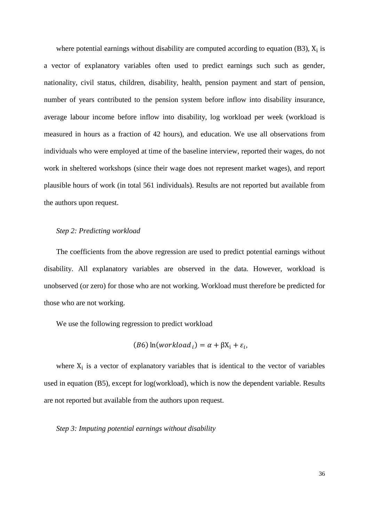where potential earnings without disability are computed according to equation (B3),  $X_i$  is a vector of explanatory variables often used to predict earnings such such as gender, nationality, civil status, children, disability, health, pension payment and start of pension, number of years contributed to the pension system before inflow into disability insurance, average labour income before inflow into disability, log workload per week (workload is measured in hours as a fraction of 42 hours), and education. We use all observations from individuals who were employed at time of the baseline interview, reported their wages, do not work in sheltered workshops (since their wage does not represent market wages), and report plausible hours of work (in total 561 individuals). Results are not reported but available from the authors upon request.

#### *Step 2: Predicting workload*

The coefficients from the above regression are used to predict potential earnings without disability. All explanatory variables are observed in the data. However, workload is unobserved (or zero) for those who are not working. Workload must therefore be predicted for those who are not working.

We use the following regression to predict workload

$$
(B6)\ln(workload_i) = \alpha + \beta X_i + \varepsilon_i,
$$

where  $X_i$  is a vector of explanatory variables that is identical to the vector of variables used in equation (B5), except for log(workload), which is now the dependent variable. Results are not reported but available from the authors upon request.

*Step 3: Imputing potential earnings without disability*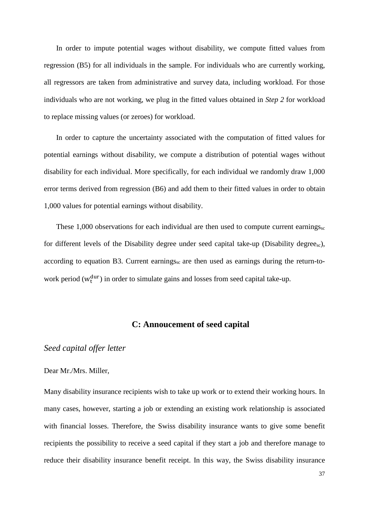In order to impute potential wages without disability, we compute fitted values from regression (B5) for all individuals in the sample. For individuals who are currently working, all regressors are taken from administrative and survey data, including workload. For those individuals who are not working, we plug in the fitted values obtained in *Step 2* for workload to replace missing values (or zeroes) for workload.

In order to capture the uncertainty associated with the computation of fitted values for potential earnings without disability, we compute a distribution of potential wages without disability for each individual. More specifically, for each individual we randomly draw 1,000 error terms derived from regression (B6) and add them to their fitted values in order to obtain 1,000 values for potential earnings without disability.

These 1,000 observations for each individual are then used to compute current earnings<sub>sc</sub> for different levels of the Disability degree under seed capital take-up (Disability degreesc), according to equation B3. Current earnings<sub>sc</sub> are then used as earnings during the return-towork period  $(w_t^{dur})$  in order to simulate gains and losses from seed capital take-up.

### **C: Annoucement of seed capital**

#### *Seed capital offer letter*

#### Dear Mr./Mrs. Miller,

Many disability insurance recipients wish to take up work or to extend their working hours. In many cases, however, starting a job or extending an existing work relationship is associated with financial losses. Therefore, the Swiss disability insurance wants to give some benefit recipients the possibility to receive a seed capital if they start a job and therefore manage to reduce their disability insurance benefit receipt. In this way, the Swiss disability insurance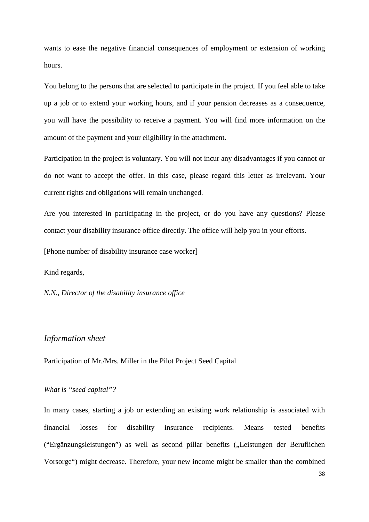wants to ease the negative financial consequences of employment or extension of working hours.

You belong to the persons that are selected to participate in the project. If you feel able to take up a job or to extend your working hours, and if your pension decreases as a consequence, you will have the possibility to receive a payment. You will find more information on the amount of the payment and your eligibility in the attachment.

Participation in the project is voluntary. You will not incur any disadvantages if you cannot or do not want to accept the offer. In this case, please regard this letter as irrelevant. Your current rights and obligations will remain unchanged.

Are you interested in participating in the project, or do you have any questions? Please contact your disability insurance office directly. The office will help you in your efforts.

[Phone number of disability insurance case worker]

Kind regards,

*N.N., Director of the disability insurance office*

#### *Information sheet*

Participation of Mr./Mrs. Miller in the Pilot Project Seed Capital

#### *What is "seed capital"?*

In many cases, starting a job or extending an existing work relationship is associated with financial losses for disability insurance recipients. Means tested benefits ("Ergänzungsleistungen") as well as second pillar benefits ("Leistungen der Beruflichen Vorsorge") might decrease. Therefore, your new income might be smaller than the combined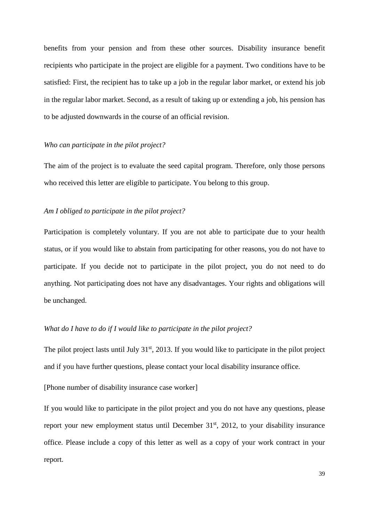benefits from your pension and from these other sources. Disability insurance benefit recipients who participate in the project are eligible for a payment. Two conditions have to be satisfied: First, the recipient has to take up a job in the regular labor market, or extend his job in the regular labor market. Second, as a result of taking up or extending a job, his pension has to be adjusted downwards in the course of an official revision.

#### *Who can participate in the pilot project?*

The aim of the project is to evaluate the seed capital program. Therefore, only those persons who received this letter are eligible to participate. You belong to this group.

#### *Am I obliged to participate in the pilot project?*

Participation is completely voluntary. If you are not able to participate due to your health status, or if you would like to abstain from participating for other reasons, you do not have to participate. If you decide not to participate in the pilot project, you do not need to do anything. Not participating does not have any disadvantages. Your rights and obligations will be unchanged.

#### *What do I have to do if I would like to participate in the pilot project?*

The pilot project lasts until July  $31<sup>st</sup>$ , 2013. If you would like to participate in the pilot project and if you have further questions, please contact your local disability insurance office.

#### [Phone number of disability insurance case worker]

If you would like to participate in the pilot project and you do not have any questions, please report your new employment status until December 31<sup>st</sup>, 2012, to your disability insurance office. Please include a copy of this letter as well as a copy of your work contract in your report.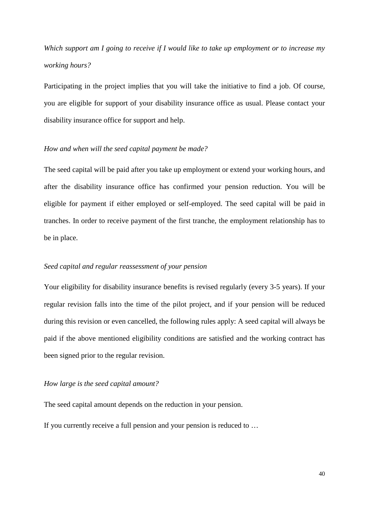*Which support am I going to receive if I would like to take up employment or to increase my working hours?*

Participating in the project implies that you will take the initiative to find a job. Of course, you are eligible for support of your disability insurance office as usual. Please contact your disability insurance office for support and help.

#### *How and when will the seed capital payment be made?*

The seed capital will be paid after you take up employment or extend your working hours, and after the disability insurance office has confirmed your pension reduction. You will be eligible for payment if either employed or self-employed. The seed capital will be paid in tranches. In order to receive payment of the first tranche, the employment relationship has to be in place.

#### *Seed capital and regular reassessment of your pension*

Your eligibility for disability insurance benefits is revised regularly (every 3-5 years). If your regular revision falls into the time of the pilot project, and if your pension will be reduced during this revision or even cancelled, the following rules apply: A seed capital will always be paid if the above mentioned eligibility conditions are satisfied and the working contract has been signed prior to the regular revision.

#### *How large is the seed capital amount?*

The seed capital amount depends on the reduction in your pension.

If you currently receive a full pension and your pension is reduced to …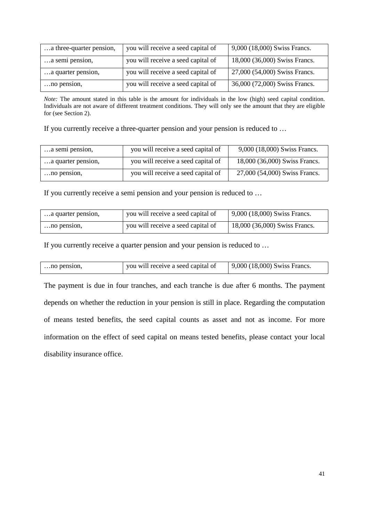| a three-quarter pension, | you will receive a seed capital of | 9,000 (18,000) Swiss Francs.  |
|--------------------------|------------------------------------|-------------------------------|
| a semi pension,          | you will receive a seed capital of | 18,000 (36,000) Swiss Francs. |
| a quarter pension,       | you will receive a seed capital of | 27,000 (54,000) Swiss Francs. |
| no pension,              | you will receive a seed capital of | 36,000 (72,000) Swiss Francs. |

*Note:* The amount stated in this table is the amount for individuals in the low (high) seed capital condition. Individuals are not aware of different treatment conditions. They will only see the amount that they are eligible for (see Section 2).

If you currently receive a three-quarter pension and your pension is reduced to …

| a semi pension,    | you will receive a seed capital of | 9,000 (18,000) Swiss Francs.  |
|--------------------|------------------------------------|-------------------------------|
| a quarter pension, | you will receive a seed capital of | 18,000 (36,000) Swiss Francs. |
| no pension,        | you will receive a seed capital of | 27,000 (54,000) Swiss Francs. |

If you currently receive a semi pension and your pension is reduced to …

| a quarter pension, | you will receive a seed capital of | $\vert$ 9,000 (18,000) Swiss Francs. |
|--------------------|------------------------------------|--------------------------------------|
| no pension,        | you will receive a seed capital of | $18,000$ (36,000) Swiss Francs.      |

If you currently receive a quarter pension and your pension is reduced to …

| no pension, | you will receive a seed capital of | $\vert$ 9,000 (18,000) Swiss Francs. |
|-------------|------------------------------------|--------------------------------------|
|             |                                    |                                      |

The payment is due in four tranches, and each tranche is due after 6 months. The payment depends on whether the reduction in your pension is still in place. Regarding the computation of means tested benefits, the seed capital counts as asset and not as income. For more information on the effect of seed capital on means tested benefits, please contact your local disability insurance office.